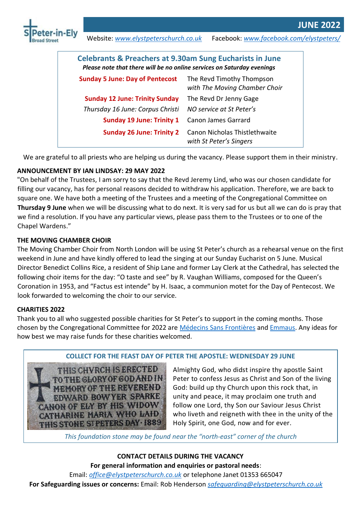



Website: *www.elystpeterschurch.co.uk* Facebook: *www.facebook.com/elystpeters/*

| <b>Celebrants &amp; Preachers at 9.30am Sung Eucharists in June</b><br>Please note that there will be no online services on Saturday evenings |                                                            |  |
|-----------------------------------------------------------------------------------------------------------------------------------------------|------------------------------------------------------------|--|
| <b>Sunday 5 June: Day of Pentecost</b>                                                                                                        | The Revd Timothy Thompson<br>with The Moving Chamber Choir |  |
| <b>Sunday 12 June: Trinity Sunday</b>                                                                                                         | The Revd Dr Jenny Gage                                     |  |
| Thursday 16 June: Corpus Christi                                                                                                              | NO service at St Peter's                                   |  |
| <b>Sunday 19 June: Trinity 1</b>                                                                                                              | Canon James Garrard                                        |  |
| <b>Sunday 26 June: Trinity 2</b>                                                                                                              | Canon Nicholas Thistlethwaite<br>with St Peter's Singers   |  |

We are grateful to all priests who are helping us during the vacancy. Please support them in their ministry.

# **ANNOUNCEMENT BY IAN LINDSAY: 29 MAY 2022**

"On behalf of the Trustees, I am sorry to say that the Revd Jeremy Lind, who was our chosen candidate for filling our vacancy, has for personal reasons decided to withdraw his application. Therefore, we are back to square one. We have both a meeting of the Trustees and a meeting of the Congregational Committee on **Thursday 9 June** when we will be discussing what to do next. It is very sad for us but all we can do is pray that we find a resolution. If you have any particular views, please pass them to the Trustees or to one of the Chapel Wardens.<sup>"</sup>

# **THE MOVING CHAMBER CHOIR**

The Moving Chamber Choir from North London will be using St Peter's church as a rehearsal venue on the first weekend in June and have kindly offered to lead the singing at our Sunday Eucharist on 5 June. Musical Director Benedict Collins Rice, a resident of Ship Lane and former Lay Clerk at the Cathedral, has selected the following choir items for the day: "O taste and see" by R. Vaughan Williams, composed for the Queen's Coronation in 1953, and "Factus est intende" by H. Isaac, a communion motet for the Day of Pentecost. We look forwarded to welcoming the choir to our service.

# **CHARITIES 2022**

Thank you to all who suggested possible charities for St Peter's to support in the coming months. Those chosen by the Congregational Committee for 2022 are [Médecins Sans Frontières](https://msf.org.uk/home) an[d Emmaus.](https://emmaus.org.uk/) Any ideas for how best we may raise funds for these charities welcomed.



**COLLECT FOR THE FEAST DAY OF PETER THE APOSTLE: WEDNESDAY 29 JUNE**

Almighty God, who didst inspire thy apostle Saint Peter to confess Jesus as Christ and Son of the living God: build up thy Church upon this rock that, in unity and peace, it may proclaim one truth and follow one Lord, thy Son our Saviour Jesus Christ who liveth and reigneth with thee in the unity of the Holy Spirit, one God, now and for ever.

*This foundation stone may be found near ƚhe ͞norƚh-easƚ͟ corner of ƚhe church*

**CONTACT DETAILS DURING THE VACANCY For general information and enquiries or pastoral needs**: Email: *[office@elystpeterschurch.co.uk](mailto:office@elystpeterschurch.co.uk)* or telephone Janet 01353 665047 **For Safeguarding issues or concerns:** Email: Rob Henderson *[safeguarding@elystpeterschurch.co.uk](mailto:safeguarding@elystpeterschurch.co.uk)*